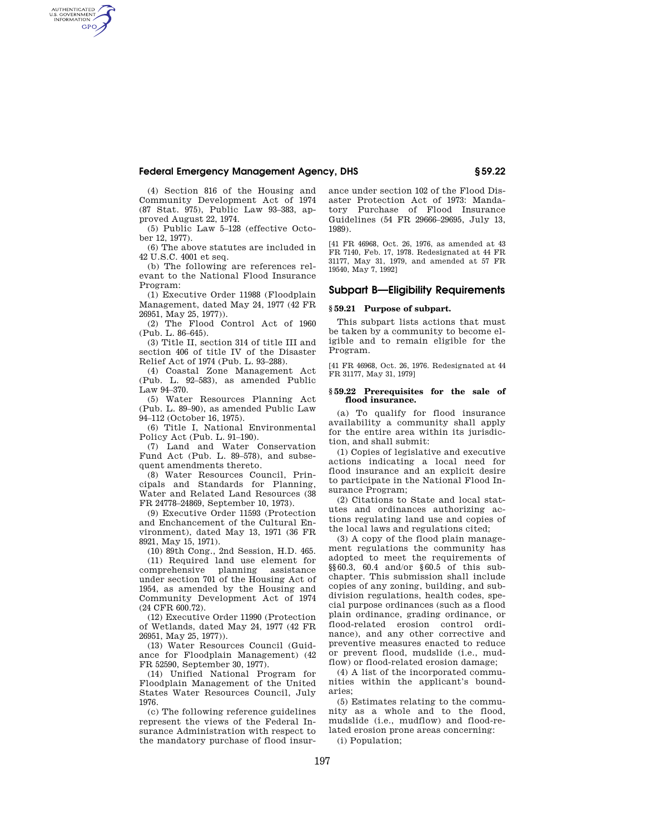## **Federal Emergency Management Agency, DHS § 59.22**

(4) Section 816 of the Housing and Community Development Act of 1974 (87 Stat. 975), Public Law 93–383, approved August 22, 1974.

AUTHENTICATED<br>U.S. GOVERNMENT<br>INFORMATION **GPO** 

> (5) Public Law 5–128 (effective October 12, 1977).

> (6) The above statutes are included in 42 U.S.C. 4001 et seq.

> (b) The following are references relevant to the National Flood Insurance Program:

> (1) Executive Order 11988 (Floodplain Management, dated May 24, 1977 (42 FR 26951, May 25, 1977)).

> (2) The Flood Control Act of 1960 (Pub. L. 86–645).

> (3) Title II, section 314 of title III and section 406 of title IV of the Disaster Relief Act of 1974 (Pub. L. 93–288).

> (4) Coastal Zone Management Act (Pub. L. 92–583), as amended Public Law 94–370.

> (5) Water Resources Planning Act (Pub. L. 89–90), as amended Public Law 94–112 (October 16, 1975).

> (6) Title I, National Environmental Policy Act (Pub. L. 91–190).

> (7) Land and Water Conservation Fund Act (Pub. L. 89–578), and subsequent amendments thereto.

> (8) Water Resources Council, Principals and Standards for Planning, Water and Related Land Resources (38 FR 24778–24869, September 10, 1973).

> (9) Executive Order 11593 (Protection and Enchancement of the Cultural Environment), dated May 13, 1971 (36 FR 8921, May 15, 1971).

(10) 89th Cong., 2nd Session, H.D. 465. (11) Required land use element for comprehensive planning assistance under section 701 of the Housing Act of 1954, as amended by the Housing and Community Development Act of 1974 (24 CFR 600.72).

(12) Executive Order 11990 (Protection of Wetlands, dated May 24, 1977 (42 FR 26951, May 25, 1977)).

(13) Water Resources Council (Guidance for Floodplain Management) (42 FR 52590, September 30, 1977).

(14) Unified National Program for Floodplain Management of the United States Water Resources Council, July 1976.

(c) The following reference guidelines represent the views of the Federal Insurance Administration with respect to the mandatory purchase of flood insurance under section 102 of the Flood Disaster Protection Act of 1973: Mandatory Purchase of Flood Insurance Guidelines (54 FR 29666–29695, July 13, 1989).

[41 FR 46968, Oct. 26, 1976, as amended at 43 FR 7140, Feb. 17, 1978. Redesignated at 44 FR 31177, May 31, 1979, and amended at 57 FR 19540, May 7, 1992]

## **Subpart B—Eligibility Requirements**

## **§ 59.21 Purpose of subpart.**

This subpart lists actions that must be taken by a community to become eligible and to remain eligible for the Program.

[41 FR 46968, Oct. 26, 1976. Redesignated at 44 FR 31177, May 31, 1979]

## **§ 59.22 Prerequisites for the sale of flood insurance.**

(a) To qualify for flood insurance availability a community shall apply for the entire area within its jurisdiction, and shall submit:

(1) Copies of legislative and executive actions indicating a local need for flood insurance and an explicit desire to participate in the National Flood Insurance Program;

(2) Citations to State and local statutes and ordinances authorizing actions regulating land use and copies of the local laws and regulations cited;

(3) A copy of the flood plain management regulations the community has adopted to meet the requirements of §§60.3, 60.4 and/or §60.5 of this subchapter. This submission shall include copies of any zoning, building, and subdivision regulations, health codes, special purpose ordinances (such as a flood plain ordinance, grading ordinance, or flood-related erosion control ordinance), and any other corrective and preventive measures enacted to reduce or prevent flood, mudslide (i.e., mudflow) or flood-related erosion damage;

(4) A list of the incorporated communities within the applicant's boundaries;

(5) Estimates relating to the community as a whole and to the flood, mudslide (i.e., mudflow) and flood-related erosion prone areas concerning:

(i) Population;